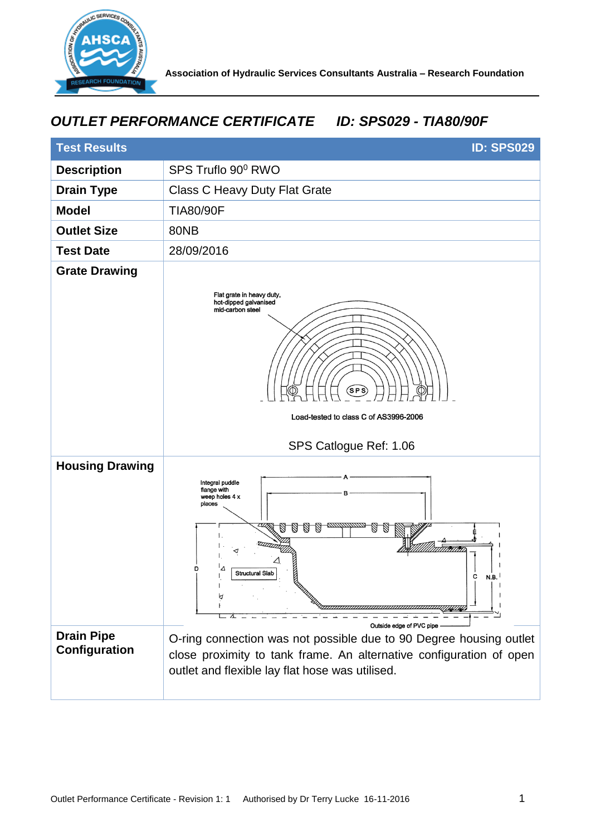

## *OUTLET PERFORMANCE CERTIFICATE ID: SPS029 - TIA80/90F*

| <b>Test Results</b><br><b>ID: SPS029</b> |                                                                                                                                                                                              |
|------------------------------------------|----------------------------------------------------------------------------------------------------------------------------------------------------------------------------------------------|
| <b>Description</b>                       | SPS Truflo 90° RWO                                                                                                                                                                           |
| <b>Drain Type</b>                        | <b>Class C Heavy Duty Flat Grate</b>                                                                                                                                                         |
| <b>Model</b>                             | <b>TIA80/90F</b>                                                                                                                                                                             |
| <b>Outlet Size</b>                       | <b>80NB</b>                                                                                                                                                                                  |
| <b>Test Date</b>                         | 28/09/2016                                                                                                                                                                                   |
| <b>Grate Drawing</b>                     | Flat grate in heavy duty,<br>hot-dipped galvanised<br>mid-carbon steel<br><b>SP</b><br>Load-tested to class C of AS3996-2006<br>SPS Catlogue Ref: 1.06                                       |
| <b>Housing Drawing</b>                   | Integral puddle<br>flange with<br>R<br>weep holes 4 x<br>places<br>William<br>Δ<br>D<br><b>Structural Slab</b><br>с<br>N.B.<br>А<br>Outside edge of PVC pipe                                 |
| <b>Drain Pipe</b><br>Configuration       | O-ring connection was not possible due to 90 Degree housing outlet<br>close proximity to tank frame. An alternative configuration of open<br>outlet and flexible lay flat hose was utilised. |